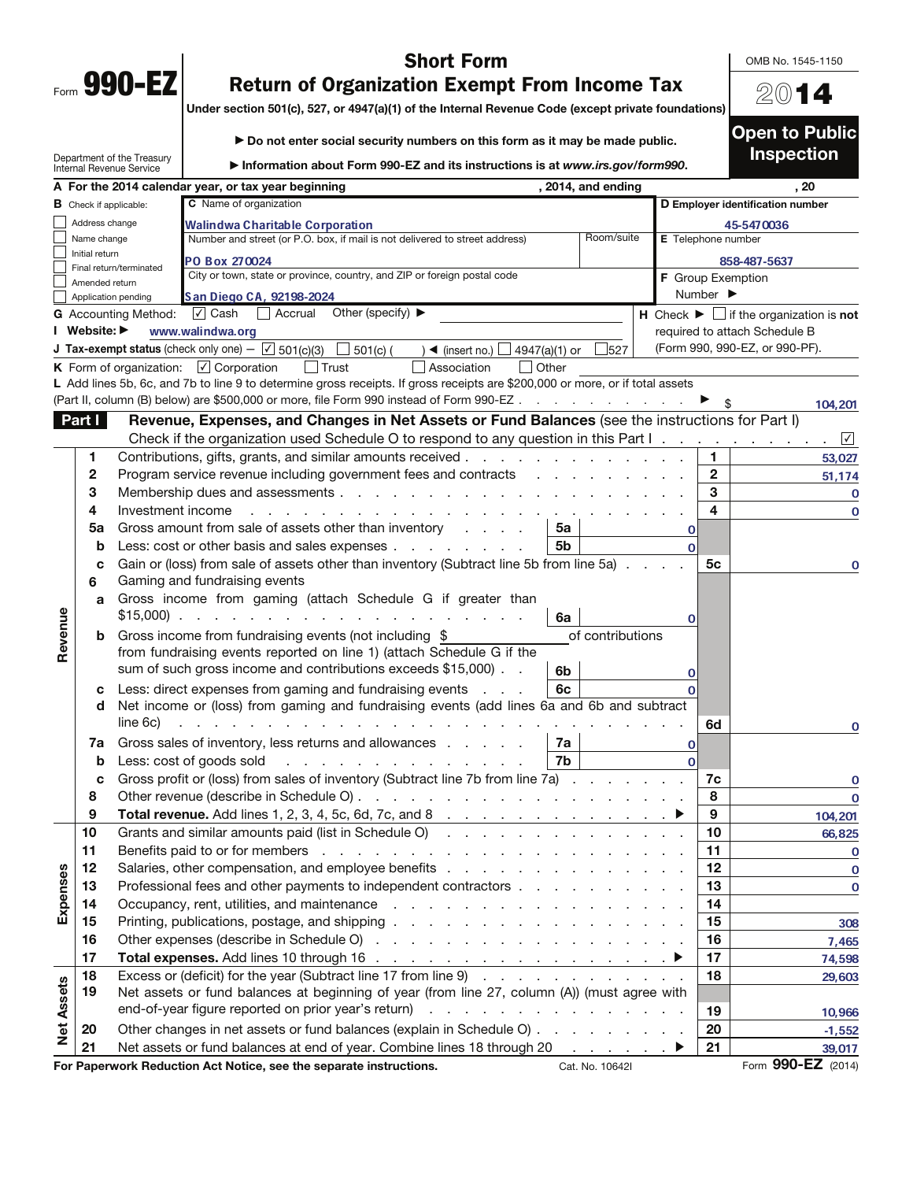| Form | <b>990</b><br>L |  |
|------|-----------------|--|
|      |                 |  |

|         |                                                                     |                                                               | <b>Short Form</b>                                                                                                                                                              |                  |                    |                         | OMB No. 1545-1150                                                             |
|---------|---------------------------------------------------------------------|---------------------------------------------------------------|--------------------------------------------------------------------------------------------------------------------------------------------------------------------------------|------------------|--------------------|-------------------------|-------------------------------------------------------------------------------|
|         | Form 990-EZ<br><b>Return of Organization Exempt From Income Tax</b> |                                                               |                                                                                                                                                                                |                  |                    |                         |                                                                               |
|         |                                                                     |                                                               | Under section 501(c), 527, or 4947(a)(1) of the Internal Revenue Code (except private foundations)                                                                             |                  | 2014               |                         |                                                                               |
|         |                                                                     |                                                               |                                                                                                                                                                                |                  |                    |                         | <b>Open to Public</b>                                                         |
|         |                                                                     |                                                               | Do not enter social security numbers on this form as it may be made public.                                                                                                    |                  |                    |                         | <b>Inspection</b>                                                             |
|         |                                                                     | Department of the Treasury<br><b>Internal Revenue Service</b> | Information about Form 990-EZ and its instructions is at www.irs.gov/form990.                                                                                                  |                  |                    |                         |                                                                               |
|         |                                                                     |                                                               | A For the 2014 calendar year, or tax year beginning<br>, 2014, and ending                                                                                                      |                  |                    |                         | . 20                                                                          |
|         | <b>B</b> Check if applicable:                                       |                                                               | C Name of organization                                                                                                                                                         |                  |                    |                         | D Employer identification number                                              |
|         | Address change                                                      |                                                               | Walindwa Charitable Corporation                                                                                                                                                |                  |                    |                         | 45-5470036                                                                    |
|         | Name change                                                         |                                                               | Number and street (or P.O. box, if mail is not delivered to street address)                                                                                                    | Room/suite       | E Telephone number |                         |                                                                               |
|         | Initial return                                                      | Final return/terminated                                       | PO Box 270024                                                                                                                                                                  |                  |                    |                         | 858-487-5637                                                                  |
|         | Amended return                                                      |                                                               | City or town, state or province, country, and ZIP or foreign postal code                                                                                                       |                  | F Group Exemption  |                         |                                                                               |
|         |                                                                     | Application pending                                           | San Diego CA, 92198-2024                                                                                                                                                       |                  |                    | Number ▶                |                                                                               |
|         |                                                                     | <b>G</b> Accounting Method:                                   | Accrual Other (specify) ▶<br>$\sqrt{ }$ Cash                                                                                                                                   |                  |                    |                         | <b>H</b> Check $\blacktriangleright$ $\Box$ if the organization is <b>not</b> |
|         | I Website: ▶                                                        |                                                               | www.walindwa.org                                                                                                                                                               |                  |                    |                         | required to attach Schedule B                                                 |
|         |                                                                     |                                                               | <b>J Tax-exempt status</b> (check only one) $-\sqrt{5}$ 501(c)(3)<br>$\Box$ 501(c) (<br>$\rightarrow$ (insert no.) $\Box$<br>4947(a)(1) or                                     | 527              |                    |                         | (Form 990, 990-EZ, or 990-PF).                                                |
|         |                                                                     |                                                               | <b>K</b> Form of organization: $\boxed{\angle}$ Corporation<br>l Trust<br>Association<br>$\vert$ Other                                                                         |                  |                    |                         |                                                                               |
|         |                                                                     |                                                               | L Add lines 5b, 6c, and 7b to line 9 to determine gross receipts. If gross receipts are \$200,000 or more, or if total assets                                                  |                  |                    |                         |                                                                               |
|         |                                                                     |                                                               | (Part II, column (B) below) are \$500,000 or more, file Form 990 instead of Form 990-EZ                                                                                        |                  |                    |                         | 104,201                                                                       |
|         | Part I                                                              |                                                               | Revenue, Expenses, and Changes in Net Assets or Fund Balances (see the instructions for Part I)                                                                                |                  |                    |                         |                                                                               |
|         |                                                                     |                                                               | Check if the organization used Schedule O to respond to any question in this Part I.                                                                                           |                  |                    |                         | $\sqrt{ }$                                                                    |
|         | 1.                                                                  |                                                               | Contributions, gifts, grants, and similar amounts received.<br>and the state of the state of the state of the state of the state of the state of the state of the state of the |                  |                    | 1.                      | 53,027                                                                        |
|         | 2                                                                   |                                                               | Program service revenue including government fees and contracts                                                                                                                |                  |                    | $\mathbf{2}$            | 51,174                                                                        |
|         | 3                                                                   |                                                               | Membership dues and assessments                                                                                                                                                |                  |                    | 3                       | O                                                                             |
|         | 4                                                                   | Investment income                                             |                                                                                                                                                                                |                  |                    | $\overline{\mathbf{4}}$ | $\Omega$                                                                      |
|         | 5a                                                                  |                                                               | Gross amount from sale of assets other than inventory<br>5а                                                                                                                    |                  | $\mathbf 0$        |                         |                                                                               |
|         | b                                                                   |                                                               | 5b<br>Less: cost or other basis and sales expenses                                                                                                                             |                  |                    |                         |                                                                               |
|         | C                                                                   |                                                               | Gain or (loss) from sale of assets other than inventory (Subtract line 5b from line 5a)                                                                                        |                  |                    | 5с                      | $\mathbf 0$                                                                   |
|         | 6                                                                   |                                                               | Gaming and fundraising events                                                                                                                                                  |                  |                    |                         |                                                                               |
|         | a                                                                   |                                                               | Gross income from gaming (attach Schedule G if greater than                                                                                                                    |                  |                    |                         |                                                                               |
|         |                                                                     |                                                               | $$15,000$<br>6a                                                                                                                                                                |                  | 0                  |                         |                                                                               |
| Revenue | b                                                                   |                                                               | Gross income from fundraising events (not including \$<br>from fundraising events reported on line 1) (attach Schedule G if the                                                | of contributions |                    |                         |                                                                               |
|         |                                                                     |                                                               | sum of such gross income and contributions exceeds \$15,000).<br>6b                                                                                                            |                  | Ω                  |                         |                                                                               |
|         | c                                                                   |                                                               | Less: direct expenses from gaming and fundraising events<br>6c<br>$\sim$ $\sim$ $\sim$                                                                                         |                  |                    |                         |                                                                               |
|         | d                                                                   | line 6c)                                                      | Net income or (loss) from gaming and fundraising events (add lines 6a and 6b and subtract                                                                                      |                  |                    | 6d                      | O                                                                             |

|                                                                    | 7a                 | Gross sales of inventory, less returns and allowances<br>7a                                  |                 |          |
|--------------------------------------------------------------------|--------------------|----------------------------------------------------------------------------------------------|-----------------|----------|
|                                                                    | b                  | Less: cost of goods sold $\qquad \qquad \ldots \qquad \qquad \ldots \qquad \ldots$<br>7b     |                 |          |
|                                                                    |                    | Gross profit or (loss) from sales of inventory (Subtract line 7b from line 7a)               | 7с              |          |
|                                                                    | 8                  |                                                                                              | 8               |          |
|                                                                    | 9                  |                                                                                              | 9               | 104,201  |
|                                                                    | 10                 | Grants and similar amounts paid (list in Schedule O)                                         | 10              | 66,825   |
|                                                                    | 11                 |                                                                                              | 11              |          |
| 8                                                                  | 12                 |                                                                                              | 12 <sub>2</sub> |          |
| Expens                                                             | 13                 | Professional fees and other payments to independent contractors                              | 13              | O        |
|                                                                    | 14                 |                                                                                              | 14              |          |
|                                                                    | 15                 |                                                                                              | 15              | 308      |
|                                                                    | 16                 |                                                                                              | 16              | 7,465    |
|                                                                    | 17                 |                                                                                              | 17              | 74,598   |
|                                                                    | 18                 | Excess or (deficit) for the year (Subtract line 17 from line 9)                              | 18              | 29,603   |
| ssets                                                              | 19                 | Net assets or fund balances at beginning of year (from line 27, column (A)) (must agree with |                 |          |
| ₹                                                                  |                    |                                                                                              | 19              | 10,966   |
| $\frac{1}{2}$                                                      | 20                 | Other changes in net assets or fund balances (explain in Schedule O)                         | 20              | $-1,552$ |
|                                                                    | 21                 | Net assets or fund balances at end of year. Combine lines 18 through 20 ▶                    | 21              | 39,017   |
| For Paperwork Reduction Act Notice, see the separate instructions. | Form 990-EZ (2014) |                                                                                              |                 |          |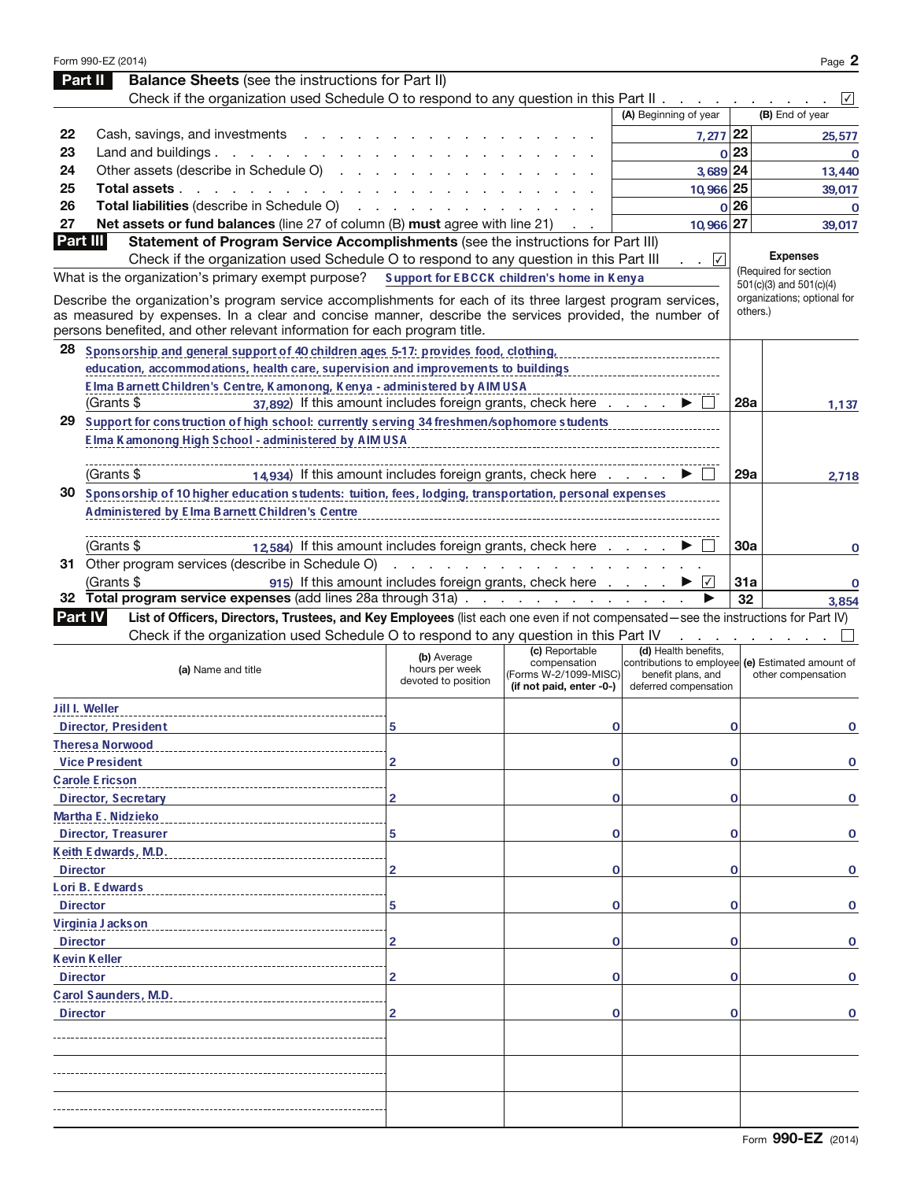|                 | Form 990-EZ (2014)                                                                                                                                                                                                                                 |                                                      |                                                                                     |                                                                     |             | Page 2                                                                  |
|-----------------|----------------------------------------------------------------------------------------------------------------------------------------------------------------------------------------------------------------------------------------------------|------------------------------------------------------|-------------------------------------------------------------------------------------|---------------------------------------------------------------------|-------------|-------------------------------------------------------------------------|
|                 | <b>Balance Sheets</b> (see the instructions for Part II)<br>Part II                                                                                                                                                                                |                                                      |                                                                                     |                                                                     |             |                                                                         |
|                 | Check if the organization used Schedule O to respond to any question in this Part II                                                                                                                                                               |                                                      |                                                                                     |                                                                     |             | $\sqrt{}$                                                               |
|                 |                                                                                                                                                                                                                                                    |                                                      |                                                                                     | (A) Beginning of year                                               |             | (B) End of year                                                         |
| 22              | Cash, savings, and investments                                                                                                                                                                                                                     |                                                      |                                                                                     | $7,277$ 22                                                          |             | 25,577                                                                  |
| 23              | Land and buildings $\ldots$ $\ldots$ $\ldots$ $\ldots$                                                                                                                                                                                             |                                                      |                                                                                     |                                                                     | 0 23        | $\mathbf 0$                                                             |
| 24              | Other assets (describe in Schedule O)                                                                                                                                                                                                              |                                                      |                                                                                     | 3,689 24                                                            |             | 13,440                                                                  |
| 25              | Total assets.<br>$\mathbf{r}$ . The set of the set of the set of the set of the set of the set of the set of the set of the set of the set of the set of the set of the set of the set of the set of the set of the set of the set of the set of t |                                                      |                                                                                     | 10,966 25                                                           |             | 39,017                                                                  |
| 26              | Total liabilities (describe in Schedule O)                                                                                                                                                                                                         |                                                      |                                                                                     |                                                                     | $\Omega$ 26 | O                                                                       |
| 27              | Net assets or fund balances (line 27 of column (B) must agree with line 21)                                                                                                                                                                        |                                                      |                                                                                     | 10,966 27                                                           |             | 39,017                                                                  |
| Part III        | Statement of Program Service Accomplishments (see the instructions for Part III)                                                                                                                                                                   |                                                      |                                                                                     |                                                                     |             |                                                                         |
|                 | Check if the organization used Schedule O to respond to any question in this Part III                                                                                                                                                              |                                                      |                                                                                     | $\sim$ $\sqrt{ }$                                                   |             | <b>Expenses</b>                                                         |
|                 | What is the organization's primary exempt purpose?                                                                                                                                                                                                 |                                                      | Support for EBCCK children's home in Kenya                                          |                                                                     |             | (Required for section<br>501(c)(3) and 501(c)(4)                        |
|                 | Describe the organization's program service accomplishments for each of its three largest program services,<br>as measured by expenses. In a clear and concise manner, describe the services provided, the number of                               |                                                      |                                                                                     |                                                                     |             | organizations; optional for<br>others.)                                 |
|                 | persons benefited, and other relevant information for each program title.                                                                                                                                                                          |                                                      |                                                                                     |                                                                     |             |                                                                         |
| 28              | Sponsorship and general support of 40 children ages 5-17: provides food, clothing,                                                                                                                                                                 |                                                      |                                                                                     |                                                                     |             |                                                                         |
|                 | education, accommodations, health care, supervision and improvements to buildings                                                                                                                                                                  |                                                      |                                                                                     |                                                                     |             |                                                                         |
|                 | Elma Barnett Children's Centre, Kamonong, Kenya - administered by AIMUSA                                                                                                                                                                           |                                                      |                                                                                     |                                                                     |             |                                                                         |
|                 | 37,892) If this amount includes foreign grants, check here<br>(Grants \$                                                                                                                                                                           |                                                      |                                                                                     |                                                                     | <b>28a</b>  | 1,137                                                                   |
|                 | 29 Support for construction of high school: currently serving 34 freshmen/sophomore students                                                                                                                                                       |                                                      |                                                                                     |                                                                     |             |                                                                         |
|                 | Elma Kamonong High School - administered by AIMUSA                                                                                                                                                                                                 |                                                      |                                                                                     |                                                                     |             |                                                                         |
|                 | (Grants \$<br>14.934) If this amount includes foreign grants, check here                                                                                                                                                                           |                                                      |                                                                                     |                                                                     | 29a         | 2,718                                                                   |
| 30              | Sponsorship of 10 higher education students: tuition, fees, lodging, transportation, personal expenses                                                                                                                                             |                                                      |                                                                                     |                                                                     |             |                                                                         |
|                 | <b>Administered by Elma Barnett Children's Centre</b>                                                                                                                                                                                              |                                                      |                                                                                     |                                                                     |             |                                                                         |
|                 |                                                                                                                                                                                                                                                    |                                                      |                                                                                     |                                                                     |             |                                                                         |
|                 | 12,584) If this amount includes foreign grants, check here<br>(Grants \$                                                                                                                                                                           |                                                      |                                                                                     |                                                                     | 30a         | 0                                                                       |
|                 | 31 Other program services (describe in Schedule O)                                                                                                                                                                                                 | and a state of the                                   |                                                                                     |                                                                     |             |                                                                         |
|                 | (Grants \$                                                                                                                                                                                                                                         |                                                      | 915) If this amount includes foreign grants, check here                             | $ \mathcal{V} $                                                     | <b>31a</b>  | 0                                                                       |
|                 | 32 Total program service expenses (add lines 28a through 31a)                                                                                                                                                                                      |                                                      |                                                                                     |                                                                     | 32          | 3,854                                                                   |
| <b>Part IV</b>  | List of Officers, Directors, Trustees, and Key Employees (list each one even if not compensated-see the instructions for Part IV)                                                                                                                  |                                                      |                                                                                     |                                                                     |             |                                                                         |
|                 | Check if the organization used Schedule O to respond to any question in this Part IV                                                                                                                                                               |                                                      |                                                                                     |                                                                     |             |                                                                         |
|                 | (a) Name and title                                                                                                                                                                                                                                 | (b) Average<br>hours per week<br>devoted to position | (c) Reportable<br>compensation<br>(Forms W-2/1099-MISC)<br>(if not paid, enter -0-) | (d) Health benefits,<br>benefit plans, and<br>deferred compensation |             | contributions to employee (e) Estimated amount of<br>other compensation |
|                 | <b>Jill I. Weller</b>                                                                                                                                                                                                                              |                                                      |                                                                                     |                                                                     |             |                                                                         |
|                 | <b>Director, President</b>                                                                                                                                                                                                                         | 5                                                    | O                                                                                   |                                                                     | O           | O                                                                       |
|                 | <b>Theresa Norwood</b>                                                                                                                                                                                                                             |                                                      |                                                                                     |                                                                     |             |                                                                         |
|                 | <b>Vice President</b>                                                                                                                                                                                                                              | 2                                                    | 0                                                                                   |                                                                     | 0           | O                                                                       |
|                 | <b>Carole Ericson</b>                                                                                                                                                                                                                              |                                                      |                                                                                     |                                                                     |             |                                                                         |
|                 | <b>Director, Secretary</b>                                                                                                                                                                                                                         | 2                                                    | 0                                                                                   |                                                                     | 0           | 0                                                                       |
|                 | <b>Martha E. Nidzieko</b>                                                                                                                                                                                                                          |                                                      |                                                                                     |                                                                     |             |                                                                         |
|                 | <b>Director, Treasurer</b>                                                                                                                                                                                                                         | 5                                                    | 0                                                                                   |                                                                     | 0           | O                                                                       |
|                 | Keith Edwards, M.D.                                                                                                                                                                                                                                |                                                      |                                                                                     |                                                                     |             |                                                                         |
| <b>Director</b> |                                                                                                                                                                                                                                                    | 2                                                    | 0                                                                                   |                                                                     | $\mathbf 0$ | O                                                                       |
|                 | Lori B. Edwards                                                                                                                                                                                                                                    |                                                      |                                                                                     |                                                                     |             |                                                                         |
| <b>Director</b> |                                                                                                                                                                                                                                                    | 5                                                    | 0                                                                                   |                                                                     | $\mathbf 0$ | 0                                                                       |
|                 | Virginia Jackson                                                                                                                                                                                                                                   |                                                      |                                                                                     |                                                                     |             |                                                                         |
| <b>Director</b> |                                                                                                                                                                                                                                                    | 2                                                    | 0                                                                                   |                                                                     | $\mathbf 0$ | O                                                                       |
|                 | <b>Kevin Keller</b>                                                                                                                                                                                                                                |                                                      |                                                                                     |                                                                     |             |                                                                         |
| <b>Director</b> |                                                                                                                                                                                                                                                    | 2                                                    | 0                                                                                   |                                                                     | O           | $\mathbf 0$                                                             |
|                 | Carol Saunders, M.D.                                                                                                                                                                                                                               |                                                      |                                                                                     |                                                                     |             |                                                                         |
| <b>Director</b> |                                                                                                                                                                                                                                                    | 2                                                    | 0                                                                                   |                                                                     | 0           | $\mathbf 0$                                                             |
|                 |                                                                                                                                                                                                                                                    |                                                      |                                                                                     |                                                                     |             |                                                                         |
|                 |                                                                                                                                                                                                                                                    |                                                      |                                                                                     |                                                                     |             |                                                                         |
|                 |                                                                                                                                                                                                                                                    |                                                      |                                                                                     |                                                                     |             |                                                                         |
|                 |                                                                                                                                                                                                                                                    |                                                      |                                                                                     |                                                                     |             |                                                                         |
|                 |                                                                                                                                                                                                                                                    |                                                      |                                                                                     |                                                                     |             |                                                                         |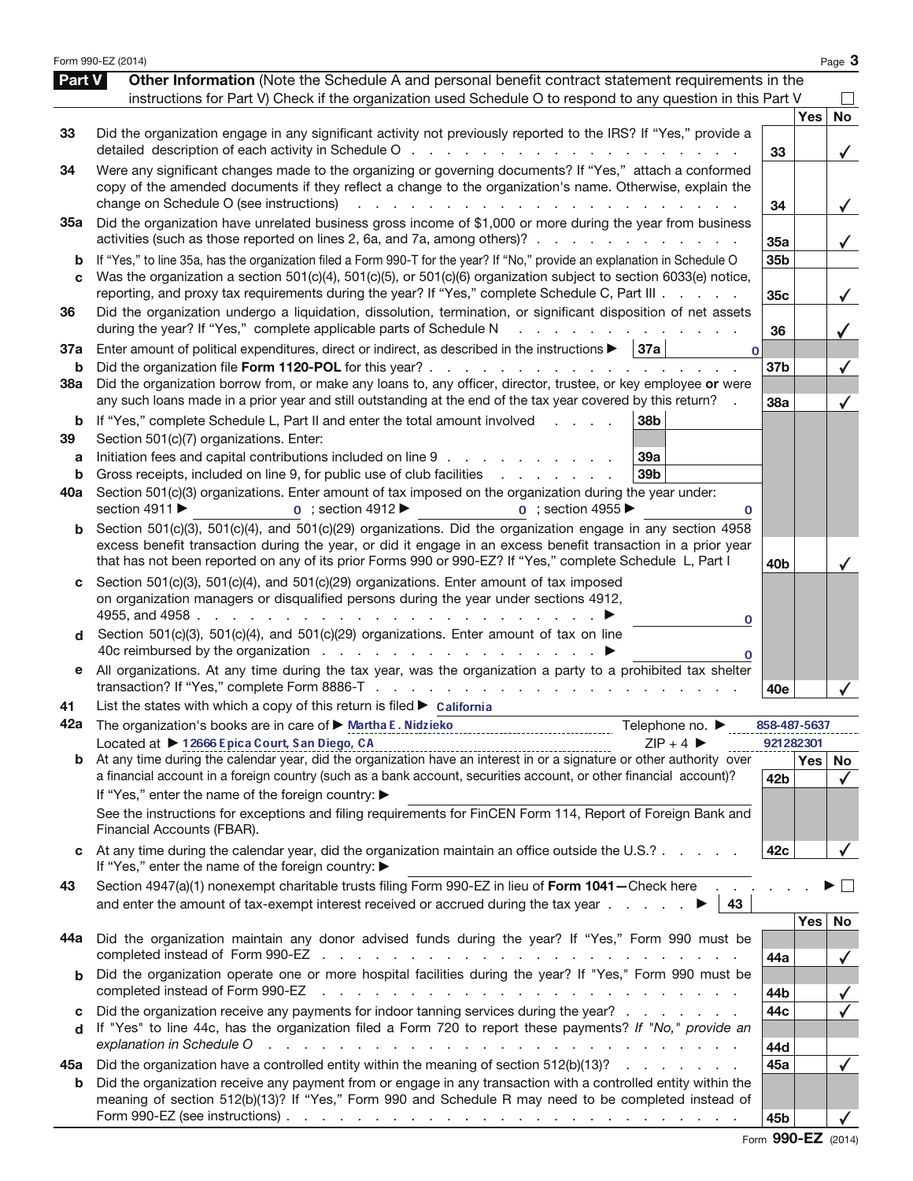|                          | Form 990-EZ (2014)                                                                                                                                                                                                                                                                                                                                                                                                                                                                  |                        |            | Page 3         |
|--------------------------|-------------------------------------------------------------------------------------------------------------------------------------------------------------------------------------------------------------------------------------------------------------------------------------------------------------------------------------------------------------------------------------------------------------------------------------------------------------------------------------|------------------------|------------|----------------|
| Part V                   | Other Information (Note the Schedule A and personal benefit contract statement requirements in the<br>instructions for Part V) Check if the organization used Schedule O to respond to any question in this Part V                                                                                                                                                                                                                                                                  |                        |            |                |
| 33                       | Did the organization engage in any significant activity not previously reported to the IRS? If "Yes," provide a<br>detailed description of each activity in Schedule O<br>and the state of the state of the                                                                                                                                                                                                                                                                         | 33                     | <b>Yes</b> | <b>No</b><br>✓ |
| 34                       | Were any significant changes made to the organizing or governing documents? If "Yes," attach a conformed<br>copy of the amended documents if they reflect a change to the organization's name. Otherwise, explain the<br>change on Schedule O (see instructions)                                                                                                                                                                                                                    | 34                     |            | $\checkmark$   |
| 35a                      | Did the organization have unrelated business gross income of \$1,000 or more during the year from business<br>activities (such as those reported on lines 2, 6a, and 7a, among others)?                                                                                                                                                                                                                                                                                             | 35a                    |            | $\checkmark$   |
| b<br>C                   | If "Yes," to line 35a, has the organization filed a Form 990-T for the year? If "No," provide an explanation in Schedule O<br>Was the organization a section 501(c)(4), 501(c)(5), or 501(c)(6) organization subject to section 6033(e) notice,<br>reporting, and proxy tax requirements during the year? If "Yes," complete Schedule C, Part III                                                                                                                                   | 35 <sub>b</sub><br>35c |            | $\checkmark$   |
| 36                       | Did the organization undergo a liquidation, dissolution, termination, or significant disposition of net assets<br>during the year? If "Yes," complete applicable parts of Schedule N                                                                                                                                                                                                                                                                                                | 36                     |            |                |
| 37a<br>b                 | Enter amount of political expenditures, direct or indirect, as described in the instructions $\blacktriangleright$   37a<br>$\mathbf 0$<br>Did the organization file Form 1120-POL for this year?.<br><b>Service</b> State<br>and a state of the                                                                                                                                                                                                                                    | 37b                    |            |                |
| 38a                      | Did the organization borrow from, or make any loans to, any officer, director, trustee, or key employee or were<br>any such loans made in a prior year and still outstanding at the end of the tax year covered by this return?                                                                                                                                                                                                                                                     | 38a                    |            | $\checkmark$   |
| b<br>39<br>а<br>b<br>40a | If "Yes," complete Schedule L, Part II and enter the total amount involved<br>38 <sub>b</sub><br>Section 501(c)(7) organizations. Enter:<br>Initiation fees and capital contributions included on line 9<br>39a<br>Gross receipts, included on line 9, for public use of club facilities<br>39b<br>and a state of the state<br>Section 501(c)(3) organizations. Enter amount of tax imposed on the organization during the year under:<br>section 4911 ▶<br>$\alpha$ : section 4955 |                        |            |                |
| b                        | $\overline{0}$ ; section 4912<br>0<br>Section 501(c)(3), 501(c)(4), and 501(c)(29) organizations. Did the organization engage in any section 4958<br>excess benefit transaction during the year, or did it engage in an excess benefit transaction in a prior year<br>that has not been reported on any of its prior Forms 990 or 990-EZ? If "Yes," complete Schedule L, Part I                                                                                                     | 40 <sub>b</sub>        |            |                |
| C<br>d                   | Section 501(c)(3), 501(c)(4), and 501(c)(29) organizations. Enter amount of tax imposed<br>on organization managers or disqualified persons during the year under sections 4912,<br>4955, and 4958<br>and the company of the company<br>0<br>Section 501(c)(3), 501(c)(4), and 501(c)(29) organizations. Enter amount of tax on line<br>0                                                                                                                                           |                        |            |                |
| е                        | All organizations. At any time during the tax year, was the organization a party to a prohibited tax shelter                                                                                                                                                                                                                                                                                                                                                                        | 40e                    |            |                |
| 41                       | List the states with which a copy of this return is filed $\triangleright$ california                                                                                                                                                                                                                                                                                                                                                                                               |                        |            |                |
| 42a                      | The organization's books are in care of ▶ Martha E. Nidzieko<br>Telephone no. ▶                                                                                                                                                                                                                                                                                                                                                                                                     | 858-487-5637           |            |                |
|                          | Located at ▶ 12666 Epica Court, San Diego, CA<br>$ZIP + 4$                                                                                                                                                                                                                                                                                                                                                                                                                          | 921282301              | Yes   No   |                |
|                          | a financial account in a foreign country (such as a bank account, securities account, or other financial account)?                                                                                                                                                                                                                                                                                                                                                                  | 42 <sub>b</sub>        |            | $\checkmark$   |
|                          | If "Yes," enter the name of the foreign country: ▶<br>See the instructions for exceptions and filing requirements for FinCEN Form 114, Report of Foreign Bank and<br>Financial Accounts (FBAR).                                                                                                                                                                                                                                                                                     |                        |            |                |
|                          | At any time during the calendar year, did the organization maintain an office outside the U.S.?<br>If "Yes," enter the name of the foreign country: ▶                                                                                                                                                                                                                                                                                                                               | 42c                    |            |                |
| 43                       | Section 4947(a)(1) nonexempt charitable trusts filing Form 990-EZ in lieu of Form 1041-Check here<br>and enter the amount of tax-exempt interest received or accrued during the tax year $\ldots$ $\ldots$<br>43                                                                                                                                                                                                                                                                    |                        |            |                |
| 44a                      | Did the organization maintain any donor advised funds during the year? If "Yes," Form 990 must be                                                                                                                                                                                                                                                                                                                                                                                   |                        | Yes        | No             |
| b                        | Did the organization operate one or more hospital facilities during the year? If "Yes," Form 990 must be<br>completed instead of Form 990-EZ<br>والمناور والمناور والمناور والمناور والمناور والمناور والمناور والمناور والمناور والمناور والمناور                                                                                                                                                                                                                                  | 44a<br>44b             |            |                |
| c                        | Did the organization receive any payments for indoor tanning services during the year?                                                                                                                                                                                                                                                                                                                                                                                              | 44c                    |            |                |
| d                        | If "Yes" to line 44c, has the organization filed a Form 720 to report these payments? If "No," provide an<br>explanation in Schedule O<br>and the contract of the contract of the contract of the contract of the contract of                                                                                                                                                                                                                                                       | 44d                    |            |                |
| 45а                      | Did the organization have a controlled entity within the meaning of section 512(b)(13)?                                                                                                                                                                                                                                                                                                                                                                                             | 45a                    |            | $\checkmark$   |
| b                        | Did the organization receive any payment from or engage in any transaction with a controlled entity within the<br>meaning of section 512(b)(13)? If "Yes," Form 990 and Schedule R may need to be completed instead of<br>Form 990-EZ (see instructions) $\ldots$ $\ldots$ $\ldots$ $\ldots$ $\ldots$ $\ldots$ $\ldots$ $\ldots$ $\ldots$ $\ldots$ $\ldots$                                                                                                                         | 45b                    |            |                |

Form 990-EZ (2014)